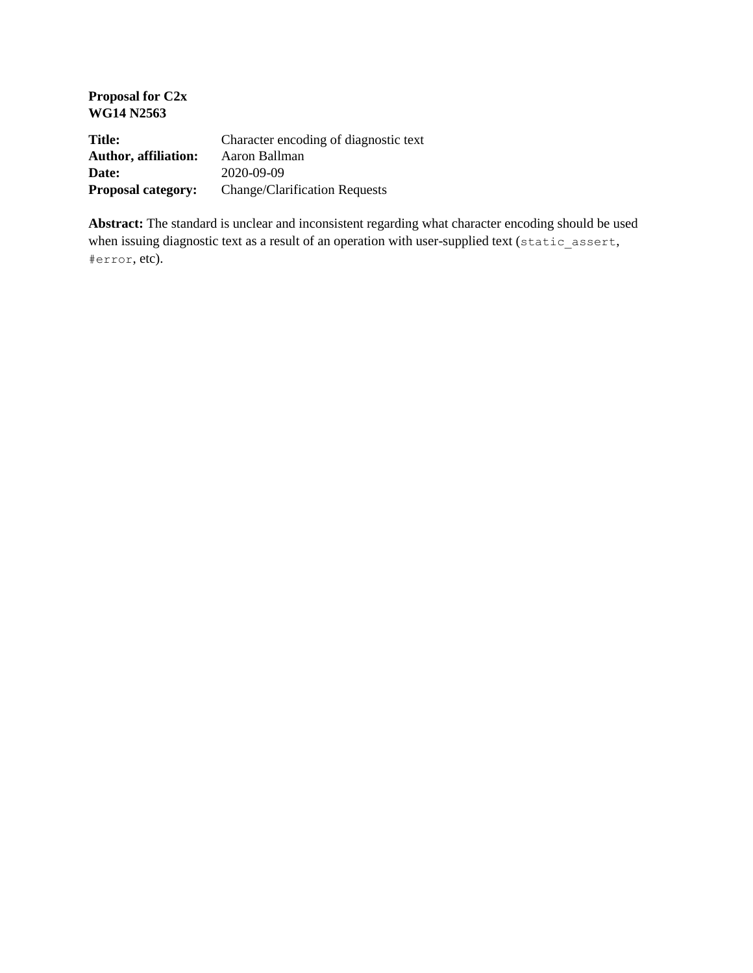| Proposal for C <sub>2x</sub> |                                       |
|------------------------------|---------------------------------------|
| <b>WG14 N2563</b>            |                                       |
| <b>Title:</b>                | Character encoding of diagnostic text |
| <b>Author, affiliation:</b>  | Aaron Ballman                         |
| Date:                        | 2020-09-09                            |
| <b>Proposal category:</b>    | Change/Clarification Requests         |

**Abstract:** The standard is unclear and inconsistent regarding what character encoding should be used when issuing diagnostic text as a result of an operation with user-supplied text (static\_assert, #error, etc).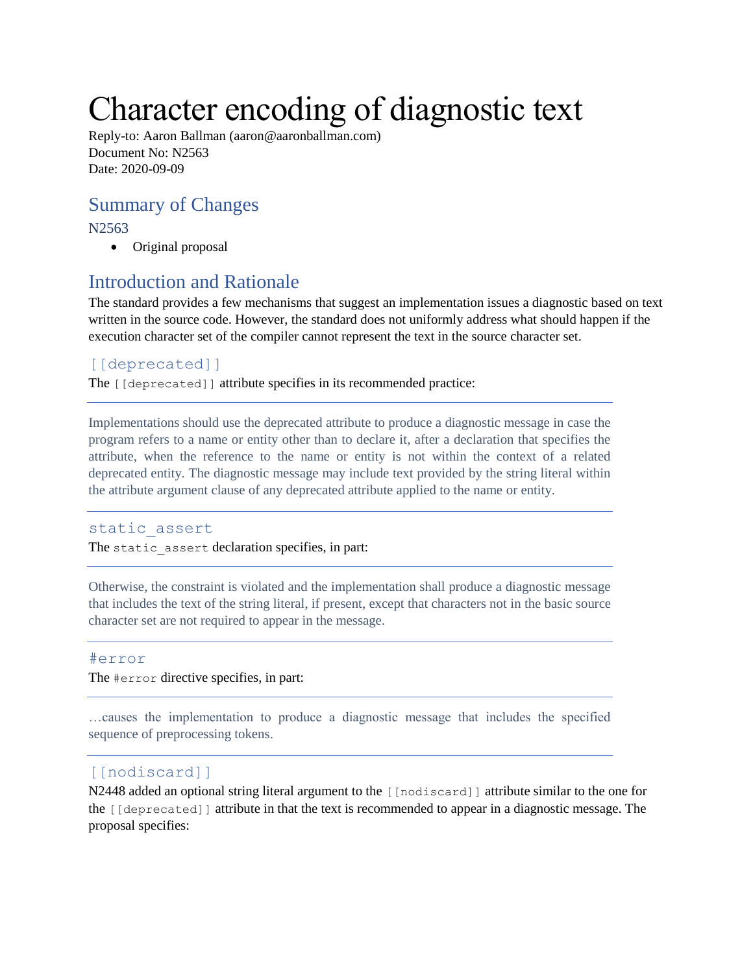# Character encoding of diagnostic text

Reply-to: Aaron Ballman (aaron@aaronballman.com) Document No: N2563 Date: 2020-09-09

## Summary of Changes

N2563

• Original proposal

# Introduction and Rationale

The standard provides a few mechanisms that suggest an implementation issues a diagnostic based on text written in the source code. However, the standard does not uniformly address what should happen if the execution character set of the compiler cannot represent the text in the source character set.

## [[deprecated]]

The [[deprecated]] attribute specifies in its recommended practice:

Implementations should use the deprecated attribute to produce a diagnostic message in case the program refers to a name or entity other than to declare it, after a declaration that specifies the attribute, when the reference to the name or entity is not within the context of a related deprecated entity. The diagnostic message may include text provided by the string literal within the attribute argument clause of any deprecated attribute applied to the name or entity.

### static\_assert

The static assert declaration specifies, in part:

Otherwise, the constraint is violated and the implementation shall produce a diagnostic message that includes the text of the string literal, if present, except that characters not in the basic source character set are not required to appear in the message.

### #error

The #error directive specifies, in part:

…causes the implementation to produce a diagnostic message that includes the specified sequence of preprocessing tokens.

## [[nodiscard]]

N2448 added an optional string literal argument to the [[nodiscard]] attribute similar to the one for the [[deprecated]] attribute in that the text is recommended to appear in a diagnostic message. The proposal specifies: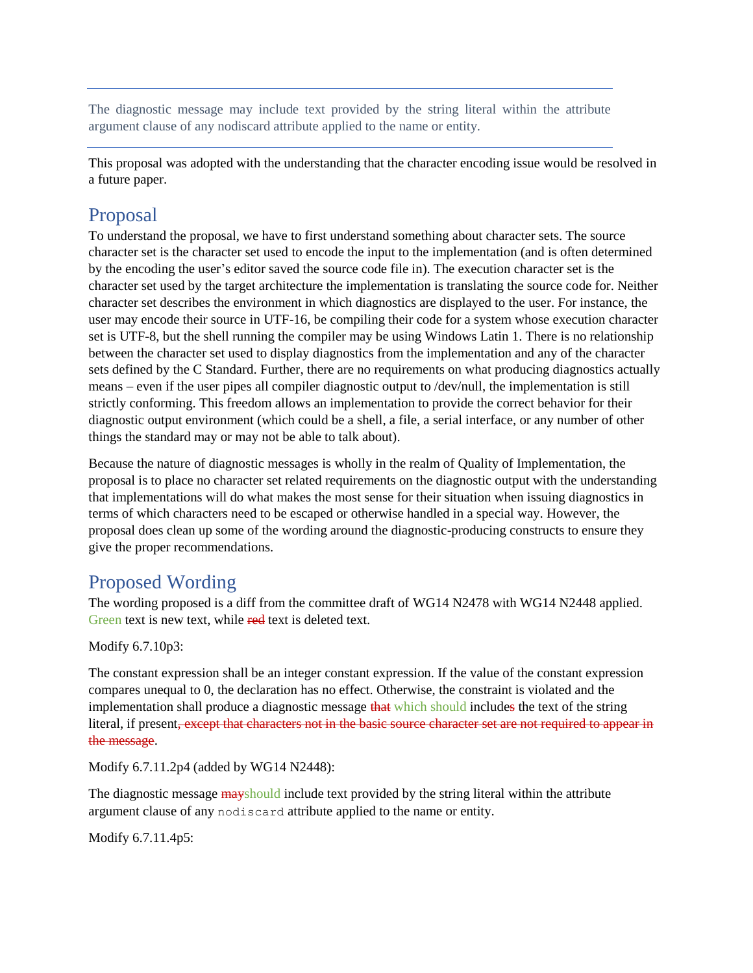The diagnostic message may include text provided by the string literal within the attribute argument clause of any nodiscard attribute applied to the name or entity.

This proposal was adopted with the understanding that the character encoding issue would be resolved in a future paper.

# Proposal

To understand the proposal, we have to first understand something about character sets. The source character set is the character set used to encode the input to the implementation (and is often determined by the encoding the user's editor saved the source code file in). The execution character set is the character set used by the target architecture the implementation is translating the source code for. Neither character set describes the environment in which diagnostics are displayed to the user. For instance, the user may encode their source in UTF-16, be compiling their code for a system whose execution character set is UTF-8, but the shell running the compiler may be using Windows Latin 1. There is no relationship between the character set used to display diagnostics from the implementation and any of the character sets defined by the C Standard. Further, there are no requirements on what producing diagnostics actually means – even if the user pipes all compiler diagnostic output to /dev/null, the implementation is still strictly conforming. This freedom allows an implementation to provide the correct behavior for their diagnostic output environment (which could be a shell, a file, a serial interface, or any number of other things the standard may or may not be able to talk about).

Because the nature of diagnostic messages is wholly in the realm of Quality of Implementation, the proposal is to place no character set related requirements on the diagnostic output with the understanding that implementations will do what makes the most sense for their situation when issuing diagnostics in terms of which characters need to be escaped or otherwise handled in a special way. However, the proposal does clean up some of the wording around the diagnostic-producing constructs to ensure they give the proper recommendations.

## Proposed Wording

The wording proposed is a diff from the committee draft of WG14 N2478 with WG14 N2448 applied. Green text is new text, while red text is deleted text.

### Modify 6.7.10p3:

The constant expression shall be an integer constant expression. If the value of the constant expression compares unequal to 0, the declaration has no effect. Otherwise, the constraint is violated and the implementation shall produce a diagnostic message that which should includes the text of the string literal, if present, except that characters not in the basic source character set are not required to appear in the message.

Modify 6.7.11.2p4 (added by WG14 N2448):

The diagnostic message mayshould include text provided by the string literal within the attribute argument clause of any nodiscard attribute applied to the name or entity.

Modify 6.7.11.4p5: